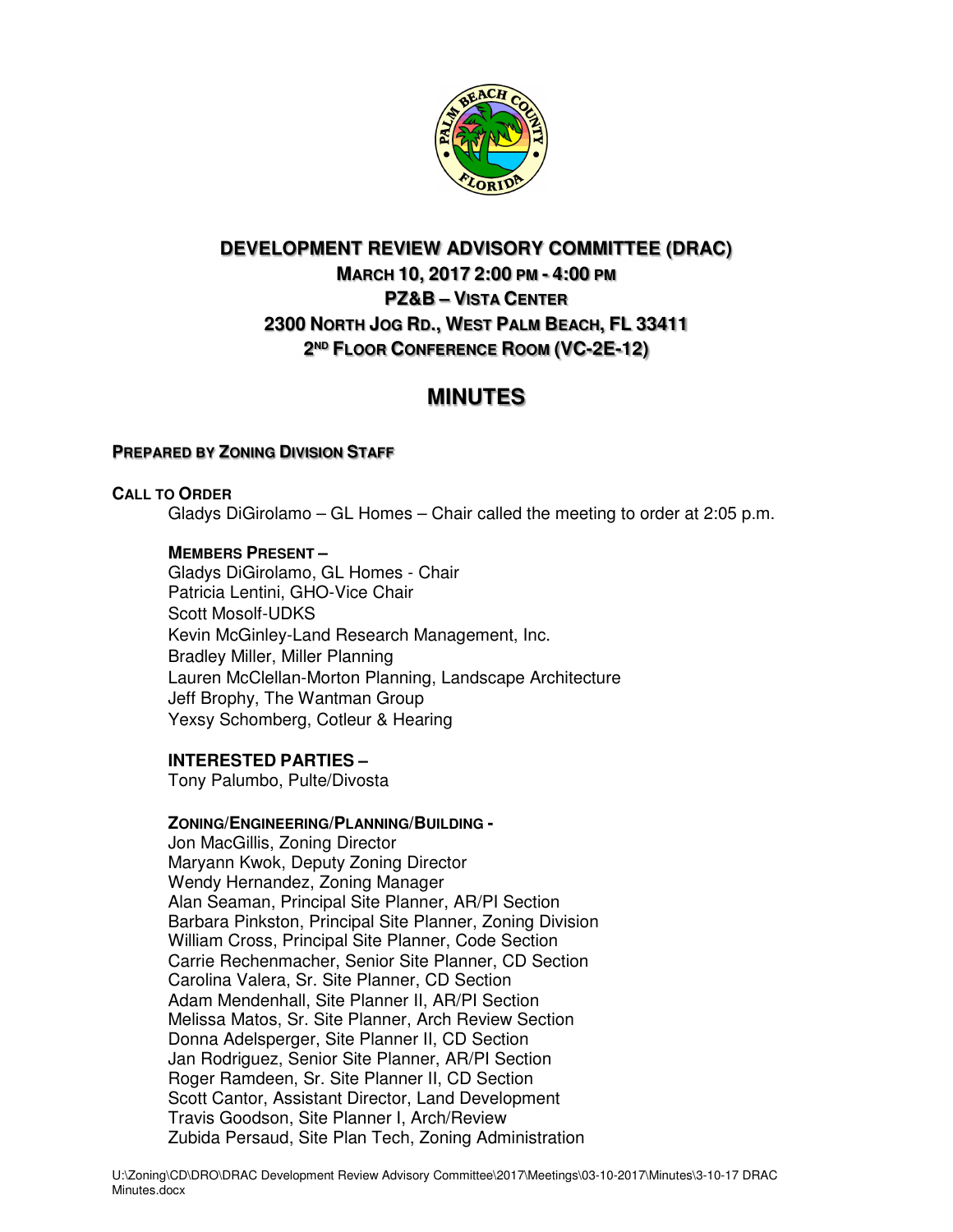

# **DEVELOPMENT REVIEW ADVISORY COMMITTEE (DRAC) MARCH 10, 2017 2:00 PM - 4:00 PM PZ&B – VISTA CENTER 2300 NORTH JOG RD., WEST PALM BEACH, FL 33411 2 ND FLOOR CONFERENCE ROOM (VC-2E-12)**

# **MINUTES**

# **PREPARED BY ZONING DIVISION STAFF**

# **CALL TO ORDER**

Gladys DiGirolamo – GL Homes – Chair called the meeting to order at 2:05 p.m.

# **MEMBERS PRESENT –**

Gladys DiGirolamo, GL Homes - Chair Patricia Lentini, GHO-Vice Chair Scott Mosolf-UDKS Kevin McGinley-Land Research Management, Inc. Bradley Miller, Miller Planning Lauren McClellan-Morton Planning, Landscape Architecture Jeff Brophy, The Wantman Group Yexsy Schomberg, Cotleur & Hearing

# **INTERESTED PARTIES –**

Tony Palumbo, Pulte/Divosta

# **ZONING/ENGINEERING/PLANNING/BUILDING -**

Jon MacGillis, Zoning Director Maryann Kwok, Deputy Zoning Director Wendy Hernandez, Zoning Manager Alan Seaman, Principal Site Planner, AR/PI Section Barbara Pinkston, Principal Site Planner, Zoning Division William Cross, Principal Site Planner, Code Section Carrie Rechenmacher, Senior Site Planner, CD Section Carolina Valera, Sr. Site Planner, CD Section Adam Mendenhall, Site Planner II, AR/PI Section Melissa Matos, Sr. Site Planner, Arch Review Section Donna Adelsperger, Site Planner II, CD Section Jan Rodriguez, Senior Site Planner, AR/PI Section Roger Ramdeen, Sr. Site Planner II, CD Section Scott Cantor, Assistant Director, Land Development Travis Goodson, Site Planner I, Arch/Review Zubida Persaud, Site Plan Tech, Zoning Administration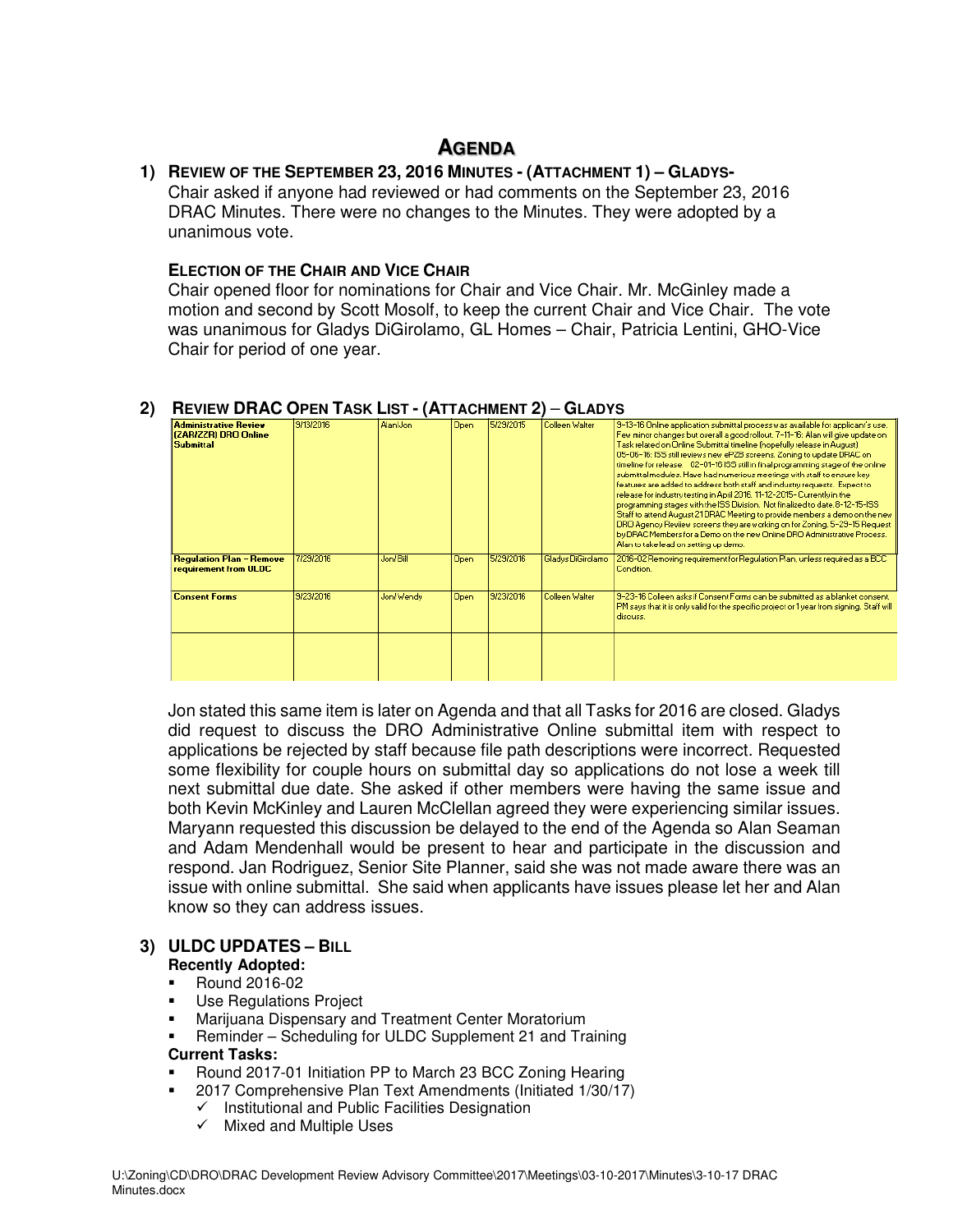# **AGENDA**

#### **1) REVIEW OF THE SEPTEMBER 23, 2016 MINUTES - (ATTACHMENT 1) – GLADYS-**Chair asked if anyone had reviewed or had comments on the September 23, 2016 DRAC Minutes. There were no changes to the Minutes. They were adopted by a

unanimous vote.

# **ELECTION OF THE CHAIR AND VICE CHAIR**

Chair opened floor for nominations for Chair and Vice Chair. Mr. McGinley made a motion and second by Scott Mosolf, to keep the current Chair and Vice Chair. The vote was unanimous for Gladys DiGirolamo, GL Homes – Chair, Patricia Lentini, GHO-Vice Chair for period of one year.

| <b>Administrative Review</b><br>(ZAR/ZZR) DRO Online<br><b>Submittal</b> | 9/13/2016 | Alan/Jon   | Open.       | 5/29/2015 | Colleen Walter    | 3-13-16 Online application submittal process was available for applicant's use.<br>Few minor changes but overall a good rollout. 7-11-16: Alan will give update on<br>Task related on Online Submittal timeline (hopefully release in August)<br>05-06-16: ISS still reviews new ePZB screens. Zoning to update DRAC on<br>timeline for release. 02-01-16 ISS still in final programming stage of the online<br>submittal modules. Have had numerious meetings with staff to ensure key<br>features are added to address both staff and industry requests. Expect to<br>release for industry testing in April 2016. 11-12-2015- Currently in the<br>programming stages with the ISS Division. Not finalized to date.8-12-15-ISS.<br>Staff to attend August 21DRAC Meeting to provide members a demo on the new<br>DRO Agency Reviiew screens they are working on for Zoning. 5-29-15 Request<br>by DRAC Members for a Demo on the new Online DRO Administrative Process.<br>Alan to take lead on setting up demo. |
|--------------------------------------------------------------------------|-----------|------------|-------------|-----------|-------------------|-------------------------------------------------------------------------------------------------------------------------------------------------------------------------------------------------------------------------------------------------------------------------------------------------------------------------------------------------------------------------------------------------------------------------------------------------------------------------------------------------------------------------------------------------------------------------------------------------------------------------------------------------------------------------------------------------------------------------------------------------------------------------------------------------------------------------------------------------------------------------------------------------------------------------------------------------------------------------------------------------------------------|
| <b>Regulation Plan - Remove</b><br>requirement from ULDC                 | 7/29/2016 | Jon/Bill   | <b>Open</b> | 5/29/2016 | Gladus DiGirolamo | 2016-02 Removing requirement for Regulation Plan, unless required as a BCC.<br>Condition.                                                                                                                                                                                                                                                                                                                                                                                                                                                                                                                                                                                                                                                                                                                                                                                                                                                                                                                         |
| <b>Consent Forms</b>                                                     | 9/23/2016 | Jon/ Wendy | Open        | 9/23/2016 | Colleen Walter    | 9-23-16 Colleen asks if Consent Forms can be submitted as a blanket consent.<br>PM says that it is only valid for the specific project or 1 year from signing. Staff will<br>discuss.                                                                                                                                                                                                                                                                                                                                                                                                                                                                                                                                                                                                                                                                                                                                                                                                                             |
|                                                                          |           |            |             |           |                   |                                                                                                                                                                                                                                                                                                                                                                                                                                                                                                                                                                                                                                                                                                                                                                                                                                                                                                                                                                                                                   |

# **2) REVIEW DRAC OPEN TASK LIST - (ATTACHMENT 2)** – **GLADYS**

Jon stated this same item is later on Agenda and that all Tasks for 2016 are closed. Gladys did request to discuss the DRO Administrative Online submittal item with respect to applications be rejected by staff because file path descriptions were incorrect. Requested some flexibility for couple hours on submittal day so applications do not lose a week till next submittal due date. She asked if other members were having the same issue and both Kevin McKinley and Lauren McClellan agreed they were experiencing similar issues. Maryann requested this discussion be delayed to the end of the Agenda so Alan Seaman and Adam Mendenhall would be present to hear and participate in the discussion and respond. Jan Rodriguez, Senior Site Planner, said she was not made aware there was an issue with online submittal. She said when applicants have issues please let her and Alan know so they can address issues.

# **3) ULDC UPDATES – BILL**

# **Recently Adopted:**

- Round 2016-02
- **Use Regulations Project**
- Marijuana Dispensary and Treatment Center Moratorium
- Reminder Scheduling for ULDC Supplement 21 and Training

#### **Current Tasks:**

- Round 2017-01 Initiation PP to March 23 BCC Zoning Hearing
- 2017 Comprehensive Plan Text Amendments (Initiated 1/30/17)
	- $\checkmark$ Institutional and Public Facilities Designation
	- $\checkmark$  Mixed and Multiple Uses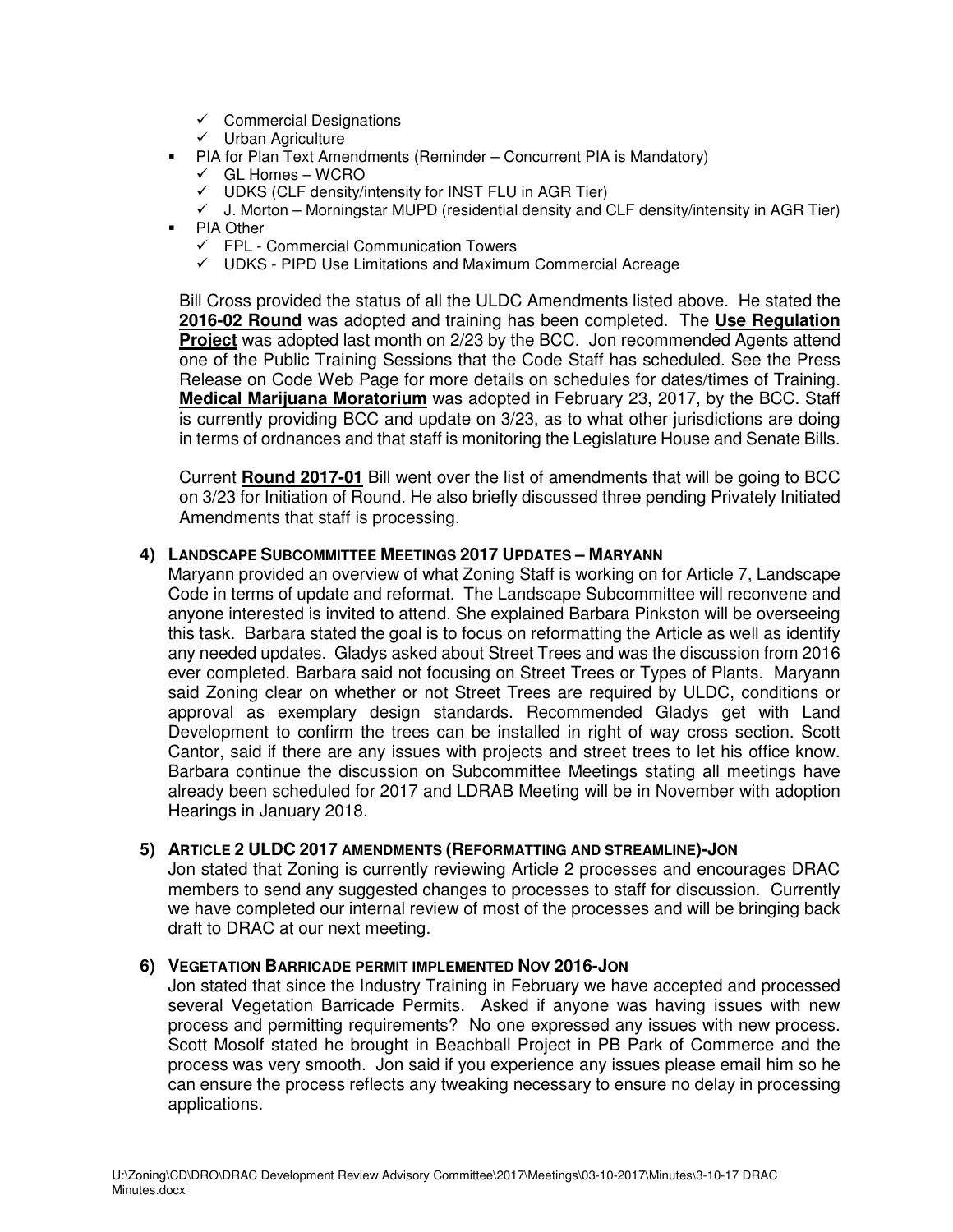- Commercial Designations
- Urban Agriculture
- PIA for Plan Text Amendments (Reminder Concurrent PIA is Mandatory)
	- GL Homes WCRO
	- UDKS (CLF density/intensity for INST FLU in AGR Tier)
	- $\checkmark$  J. Morton Morningstar MUPD (residential density and CLF density/intensity in AGR Tier)
- **PIA Other** 
	- FPL Commercial Communication Towers
	- UDKS PIPD Use Limitations and Maximum Commercial Acreage

Bill Cross provided the status of all the ULDC Amendments listed above. He stated the **2016-02 Round** was adopted and training has been completed. The **Use Regulation Project** was adopted last month on 2/23 by the BCC. Jon recommended Agents attend one of the Public Training Sessions that the Code Staff has scheduled. See the Press Release on Code Web Page for more details on schedules for dates/times of Training. **Medical Marijuana Moratorium** was adopted in February 23, 2017, by the BCC. Staff is currently providing BCC and update on 3/23, as to what other jurisdictions are doing in terms of ordnances and that staff is monitoring the Legislature House and Senate Bills.

Current **Round 2017-01** Bill went over the list of amendments that will be going to BCC on 3/23 for Initiation of Round. He also briefly discussed three pending Privately Initiated Amendments that staff is processing.

#### **4) LANDSCAPE SUBCOMMITTEE MEETINGS 2017 UPDATES – MARYANN**

Maryann provided an overview of what Zoning Staff is working on for Article 7, Landscape Code in terms of update and reformat. The Landscape Subcommittee will reconvene and anyone interested is invited to attend. She explained Barbara Pinkston will be overseeing this task. Barbara stated the goal is to focus on reformatting the Article as well as identify any needed updates. Gladys asked about Street Trees and was the discussion from 2016 ever completed. Barbara said not focusing on Street Trees or Types of Plants. Maryann said Zoning clear on whether or not Street Trees are required by ULDC, conditions or approval as exemplary design standards. Recommended Gladys get with Land Development to confirm the trees can be installed in right of way cross section. Scott Cantor, said if there are any issues with projects and street trees to let his office know. Barbara continue the discussion on Subcommittee Meetings stating all meetings have already been scheduled for 2017 and LDRAB Meeting will be in November with adoption Hearings in January 2018.

#### **5) ARTICLE 2 ULDC 2017 AMENDMENTS (REFORMATTING AND STREAMLINE)-JON**

Jon stated that Zoning is currently reviewing Article 2 processes and encourages DRAC members to send any suggested changes to processes to staff for discussion. Currently we have completed our internal review of most of the processes and will be bringing back draft to DRAC at our next meeting.

#### **6) VEGETATION BARRICADE PERMIT IMPLEMENTED NOV 2016-JON**

Jon stated that since the Industry Training in February we have accepted and processed several Vegetation Barricade Permits. Asked if anyone was having issues with new process and permitting requirements? No one expressed any issues with new process. Scott Mosolf stated he brought in Beachball Project in PB Park of Commerce and the process was very smooth. Jon said if you experience any issues please email him so he can ensure the process reflects any tweaking necessary to ensure no delay in processing applications.